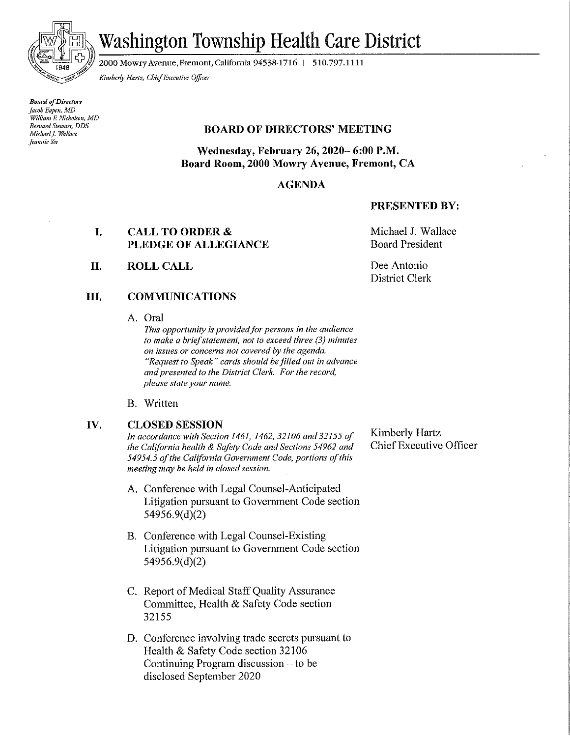

# Washington Township Health Care District

2000 Mowry Avenue, Fremont, California 94538-1716 | 510.797.1111

Kimberly Hartz, Chief Executive Officer

**Board of Directors** Jacob Eapen, MD William F. Nicholson, MD Bernard Stewart, DDS Michael I. Wallace **Jeannie** Yee

### **BOARD OF DIRECTORS' MEETING**

Wednesday, February 26, 2020–6:00 P.M. Board Room, 2000 Mowry Avenue, Fremont, CA

### **AGENDA**

#### **PRESENTED BY:**

#### I. **CALL TO ORDER &** PLEDGE OF ALLEGIANCE

II. **ROLL CALL**  Michael J. Wallace **Board President** 

Dee Antonio **District Clerk** 

#### Ш. **COMMUNICATIONS**

A. Oral

This opportunity is provided for persons in the audience to make a brief statement, not to exceed three (3) minutes on issues or concerns not covered by the agenda. "Request to Speak" cards should be filled out in advance and presented to the District Clerk. For the record, please state your name.

B. Written

#### IV. **CLOSED SESSION**

In accordance with Section 1461, 1462, 32106 and 32155 of the California health & Safety Code and Sections 54962 and 54954.5 of the California Government Code, portions of this meeting may be held in closed session.

- A. Conference with Legal Counsel-Anticipated Litigation pursuant to Government Code section 54956.9(d)(2)
- B. Conference with Legal Counsel-Existing Litigation pursuant to Government Code section  $54956.9(d)(2)$
- C. Report of Medical Staff Quality Assurance Committee, Health & Safety Code section 32155
- D. Conference involving trade secrets pursuant to Health & Safety Code section 32106 Continuing Program discussion  $-$  to be disclosed September 2020

Kimberly Hartz Chief Executive Officer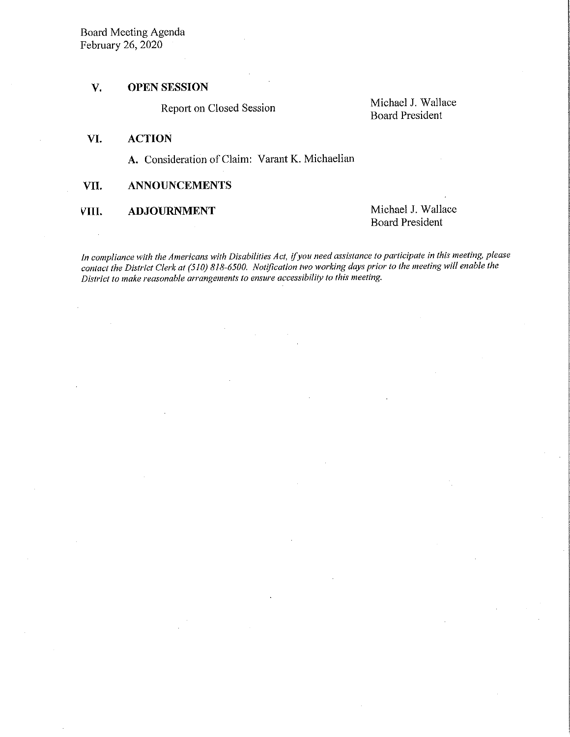#### $\overline{\mathbf{V}}$ . **OPEN SESSION**

Report on Closed Session

Michael J. Wallace **Board President** 

#### **ACTION** VI.

A. Consideration of Claim: Varant K. Michaelian

#### VII. **ANNOUNCEMENTS**

VIII. **ADJOURNMENT**  Michael J. Wallace **Board President** 

In compliance with the Americans with Disabilities Act, if you need assistance to participate in this meeting, please contact the District Clerk at (510) 818-6500. Notification two working days prior to the meeting will enable the District to make reasonable arrangements to ensure accessibility to this meeting.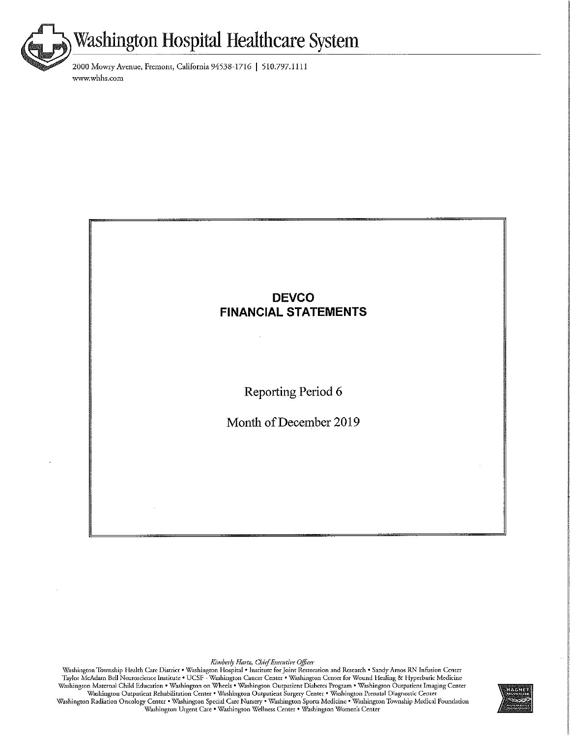

2000 Mowry Avenue, Fremont, California 94538-1716 | 510.797.1111 www.whhs.com

# **DEVCO FINANCIAL STATEMENTS**

Reporting Period 6

Month of December 2019

Kimberly Hartz, Chief Executive Officer<br>Washington Township Health Care District • Washington Hospital • Institute for Joint Restoration and Research • Sandy Amos RN Infusion Center<br>Taylor McAdam Bell Neuroscience Institut Washington Radiation Oncology Center • Washington Special Care Nursery • Washington Sports Medicine • Washington Township Medical Foundation Washington Urgent Care . Washington Wellness Center . Washington Women's Center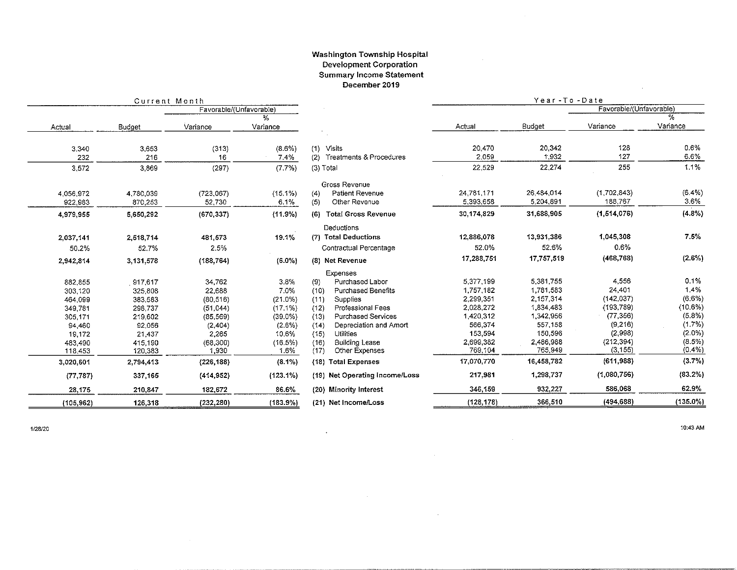#### Washington Township Hospital **Development Corporation Summary Income Statement** December 2019

 $\sim 10^{-1}$ 

|            | Current Month |                         |            |                                   | Year-To-Date |            |                         |             |
|------------|---------------|-------------------------|------------|-----------------------------------|--------------|------------|-------------------------|-------------|
|            |               | Favorable/(Unfavorable) |            |                                   |              |            | Favorable/(Unfavorable) |             |
|            |               |                         | %          |                                   |              |            |                         |             |
| Actual     | Budget        | Variance                | Variance   |                                   | Actual       | Budget     | Variance                | Variance    |
|            |               |                         |            |                                   |              |            |                         |             |
| 3 3 4 0    | 3,653         | (313)                   | $(8.6\%)$  | Visits<br>(1)                     | 20,470       | 20,342     | 128                     | $0.6\%$     |
| 232        | 216           | 16                      | 7.4%       | (2) Treatments & Procedures       | 2.059        | 1.932      | 127                     | 6.6%        |
| 3.572      | 3,869         | (297)                   | (7.7%)     | (3) Total                         | 22.529       | 22,274     | 255                     | 1.1%        |
|            |               |                         |            | Gross Revenue                     |              |            |                         |             |
| 4.056.972  | 4,780,039     | (723,067)               | $(15.1\%)$ | <b>Patient Revenue</b><br>(4)     | 24,781,171   | 26,484,014 | (1,702,843)             | $(6.4\%)$   |
| 922.983    | 870,253       | 52,730                  | 6.1%       | (5)<br>Other Revenue              | 5,393,658    | 5,204,891  | 188,767                 | 3.6%        |
| 4,979.955  | 5,650,292     | (670, 337)              | (11.9%)    | <b>Total Gross Revenue</b><br>(6) | 30,174.829   | 31,688,905 | (1, 514, 076)           | (4.8%)      |
|            |               |                         |            | Deductions                        |              |            |                         |             |
| 2,037,141  | 2,518,714     | 481,573                 | 19.1%      | (7) Total Deductions              | 12,886,078   | 13,931,386 | 1,045,308               | 7.5%        |
| 50.2%      | 52.7%         | 2.5%                    |            | Contractual Percentage            | 52.0%        | 52.6%      | 0.6%                    |             |
| 2,942,814  | 3,131,578     | (188, 764)              | (6.0%      | (8) Net Revenue                   | 17,288,751   | 17,757,519 | (468, 768)              | $(2.6\%)$   |
|            |               |                         |            | Expenses                          |              |            |                         |             |
| 882,855    | 917,617       | 34,762                  | 3.8%       | Purchased Labor<br>(9)            | 5,377,199    | 5,381,755  | 4.556                   | 0.1%        |
| 303,120    | 325,808       | 22,688                  | 7.0%       | <b>Purchased Benefits</b><br>(10) | 1,757,182    | 1,781,583  | 24,401                  | 1.4%        |
| 464,099    | 383,583       | (80, 516)               | $(21.0\%)$ | <b>Supplies</b><br>(11)           | 2,299,351    | 2,157,314  | (142.037)               | $(6.6\%)$   |
| 349,781    | 298,737       | (51,044)                | (17.1%     | <b>Professional Fees</b><br>(12)  | 2,028 272    | 1,834,483  | (193.789)               | (10.6%)     |
| 305.171    | 219,602       | (85, 569)               | (39.0%     | <b>Purchased Services</b><br>(13) | 1,420,312    | 1,342.956  | (77, 356)               | (5.8%)      |
| 94,460     | 92,056        | (2,404)                 | (2.6%)     | Depreciation and Amort<br>(14)    | 566,374      | 557,158    | (9.216)                 | (1.7%)      |
| 19,172     | 21,437        | 2,265                   | 10.6%      | <b>Utilities</b><br>(15)          | 153,594      | 150,596    | (2.998)                 | $(2.0\%)$   |
| 483,490    | 415,190       | (68, 300)               | (16.5%)    | (16)<br>Building Lease            | 2,699.382    | 2,486,988  | (212.394)               | (8.5%)      |
| 118,453    | 120,383       | 1,930                   | 1.6%       | Other Expenses<br>(17)            | 769,104      | 765 949    | (3.155)                 | (0.4% )     |
| 3,020,601  | 2,794,413     | (226, 188)              | (8.1%)     | (18) Total Expenses               | 17,070,770   | 16,458,782 | (611, 988)              | (3.7%)      |
| (77, 787)  | 337,165       | (414, 952)              | (123.1%)   | (19) Net Operating Income/Loss    | 217.981      | 1,298.737  | (1,080.756)             | $(83.2\%)$  |
| 28,175     | 210,847       | 182,672                 | 86.6%      | (20) Minority Interest            | 346,159      | 932,227    | 586,068                 | 62.9%       |
| (105, 962) | 126,318       | (232, 280)              | (183.9%)   | (21) Net Income/Loss              | (128, 178)   | 366,510    | (494, 688)              | $(135.0\%)$ |

 $\ddot{\phantom{a}}$  .

1/28/20

10:43 AM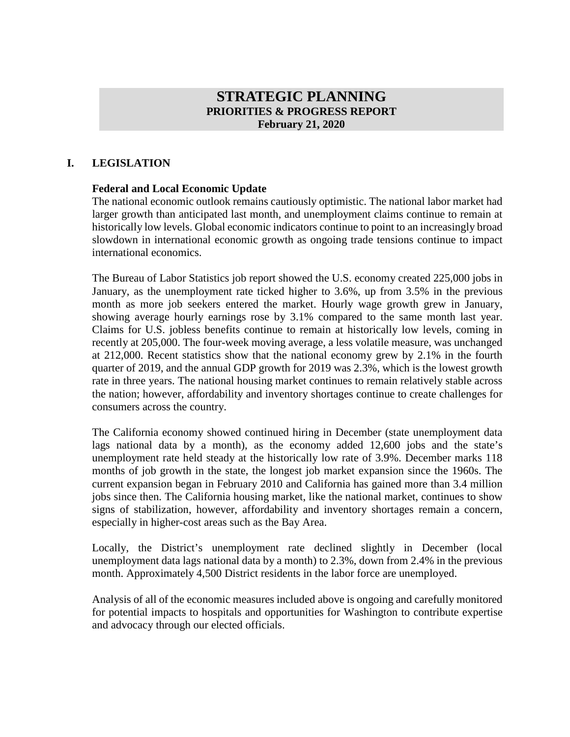## **STRATEGIC PLANNING PRIORITIES & PROGRESS REPORT February 21, 2020**

#### **I. LEGISLATION**

#### **Federal and Local Economic Update**

The national economic outlook remains cautiously optimistic. The national labor market had larger growth than anticipated last month, and unemployment claims continue to remain at historically low levels. Global economic indicators continue to point to an increasingly broad slowdown in international economic growth as ongoing trade tensions continue to impact international economics.

The Bureau of Labor Statistics job report showed the U.S. economy created 225,000 jobs in January, as the unemployment rate ticked higher to 3.6%, up from 3.5% in the previous month as more job seekers entered the market. Hourly wage growth grew in January, showing average hourly earnings rose by 3.1% compared to the same month last year. Claims for U.S. jobless benefits continue to remain at historically low levels, coming in recently at 205,000. The four-week moving average, a less volatile measure, was unchanged at 212,000. Recent statistics show that the national economy grew by 2.1% in the fourth quarter of 2019, and the annual GDP growth for 2019 was 2.3%, which is the lowest growth rate in three years. The national housing market continues to remain relatively stable across the nation; however, affordability and inventory shortages continue to create challenges for consumers across the country.

The California economy showed continued hiring in December (state unemployment data lags national data by a month), as the economy added 12,600 jobs and the state's unemployment rate held steady at the historically low rate of 3.9%. December marks 118 months of job growth in the state, the longest job market expansion since the 1960s. The current expansion began in February 2010 and California has gained more than 3.4 million jobs since then. The California housing market, like the national market, continues to show signs of stabilization, however, affordability and inventory shortages remain a concern, especially in higher-cost areas such as the Bay Area.

Locally, the District's unemployment rate declined slightly in December (local unemployment data lags national data by a month) to 2.3%, down from 2.4% in the previous month. Approximately 4,500 District residents in the labor force are unemployed.

Analysis of all of the economic measures included above is ongoing and carefully monitored for potential impacts to hospitals and opportunities for Washington to contribute expertise and advocacy through our elected officials.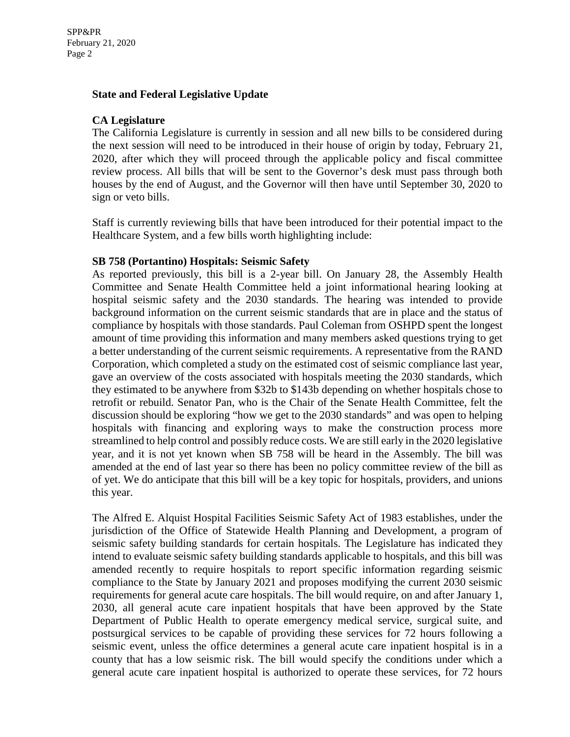### **State and Federal Legislative Update**

### **CA Legislature**

The California Legislature is currently in session and all new bills to be considered during the next session will need to be introduced in their house of origin by today, February 21, 2020, after which they will proceed through the applicable policy and fiscal committee review process. All bills that will be sent to the Governor's desk must pass through both houses by the end of August, and the Governor will then have until September 30, 2020 to sign or veto bills.

Staff is currently reviewing bills that have been introduced for their potential impact to the Healthcare System, and a few bills worth highlighting include:

#### **SB 758 (Portantino) Hospitals: Seismic Safety**

As reported previously, this bill is a 2-year bill. On January 28, the Assembly Health Committee and Senate Health Committee held a joint informational hearing looking at hospital seismic safety and the 2030 standards. The hearing was intended to provide background information on the current seismic standards that are in place and the status of compliance by hospitals with those standards. Paul Coleman from OSHPD spent the longest amount of time providing this information and many members asked questions trying to get a better understanding of the current seismic requirements. A representative from the RAND Corporation, which completed a study on the estimated cost of seismic compliance last year, gave an overview of the costs associated with hospitals meeting the 2030 standards, which they estimated to be anywhere from \$32b to \$143b depending on whether hospitals chose to retrofit or rebuild. Senator Pan, who is the Chair of the Senate Health Committee, felt the discussion should be exploring "how we get to the 2030 standards" and was open to helping hospitals with financing and exploring ways to make the construction process more streamlined to help control and possibly reduce costs. We are still early in the 2020 legislative year, and it is not yet known when SB 758 will be heard in the Assembly. The bill was amended at the end of last year so there has been no policy committee review of the bill as of yet. We do anticipate that this bill will be a key topic for hospitals, providers, and unions this year.

The Alfred E. Alquist Hospital Facilities Seismic Safety Act of 1983 establishes, under the jurisdiction of the Office of Statewide Health Planning and Development, a program of seismic safety building standards for certain hospitals. The Legislature has indicated they intend to evaluate seismic safety building standards applicable to hospitals, and this bill was amended recently to require hospitals to report specific information regarding seismic compliance to the State by January 2021 and proposes modifying the current 2030 seismic requirements for general acute care hospitals. The bill would require, on and after January 1, 2030, all general acute care inpatient hospitals that have been approved by the State Department of Public Health to operate emergency medical service, surgical suite, and postsurgical services to be capable of providing these services for 72 hours following a seismic event, unless the office determines a general acute care inpatient hospital is in a county that has a low seismic risk. The bill would specify the conditions under which a general acute care inpatient hospital is authorized to operate these services, for 72 hours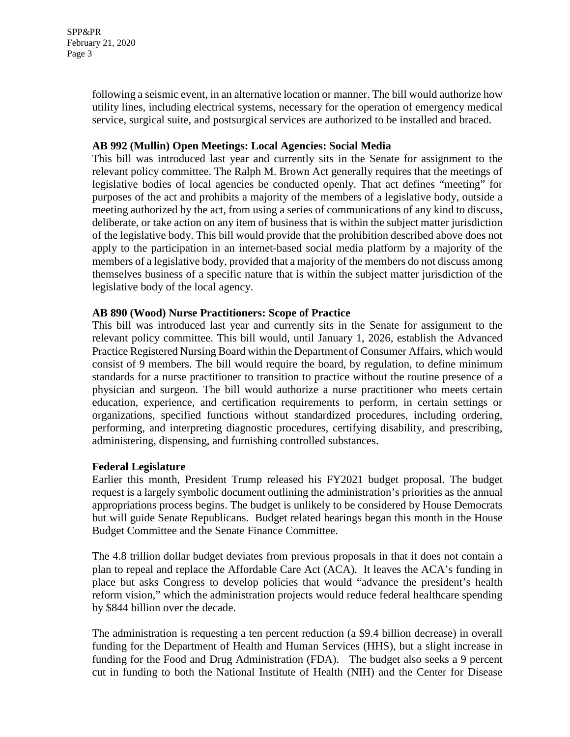following a seismic event, in an alternative location or manner. The bill would authorize how utility lines, including electrical systems, necessary for the operation of emergency medical service, surgical suite, and postsurgical services are authorized to be installed and braced.

### **AB 992 (Mullin) Open Meetings: Local Agencies: Social Media**

This bill was introduced last year and currently sits in the Senate for assignment to the relevant policy committee. The Ralph M. Brown Act generally requires that the meetings of legislative bodies of local agencies be conducted openly. That act defines "meeting" for purposes of the act and prohibits a majority of the members of a legislative body, outside a meeting authorized by the act, from using a series of communications of any kind to discuss, deliberate, or take action on any item of business that is within the subject matter jurisdiction of the legislative body. This bill would provide that the prohibition described above does not apply to the participation in an internet-based social media platform by a majority of the members of a legislative body, provided that a majority of the members do not discuss among themselves business of a specific nature that is within the subject matter jurisdiction of the legislative body of the local agency.

### **AB 890 (Wood) Nurse Practitioners: Scope of Practice**

This bill was introduced last year and currently sits in the Senate for assignment to the relevant policy committee. This bill would, until January 1, 2026, establish the Advanced Practice Registered Nursing Board within the Department of Consumer Affairs, which would consist of 9 members. The bill would require the board, by regulation, to define minimum standards for a nurse practitioner to transition to practice without the routine presence of a physician and surgeon. The bill would authorize a nurse practitioner who meets certain education, experience, and certification requirements to perform, in certain settings or organizations, specified functions without standardized procedures, including ordering, performing, and interpreting diagnostic procedures, certifying disability, and prescribing, administering, dispensing, and furnishing controlled substances.

#### **Federal Legislature**

Earlier this month, President Trump released his FY2021 budget proposal. The budget request is a largely symbolic document outlining the administration's priorities as the annual appropriations process begins. The budget is unlikely to be considered by House Democrats but will guide Senate Republicans. Budget related hearings began this month in the House Budget Committee and the Senate Finance Committee.

The 4.8 trillion dollar budget deviates from previous proposals in that it does not contain a plan to repeal and replace the Affordable Care Act (ACA). It leaves the ACA's funding in place but asks Congress to develop policies that would "advance the president's health reform vision," which the administration projects would reduce federal healthcare spending by \$844 billion over the decade.

The administration is requesting a ten percent reduction (a \$9.4 billion decrease) in overall funding for the Department of Health and Human Services (HHS), but a slight increase in funding for the Food and Drug Administration (FDA). The budget also seeks a 9 percent cut in funding to both the National Institute of Health (NIH) and the Center for Disease